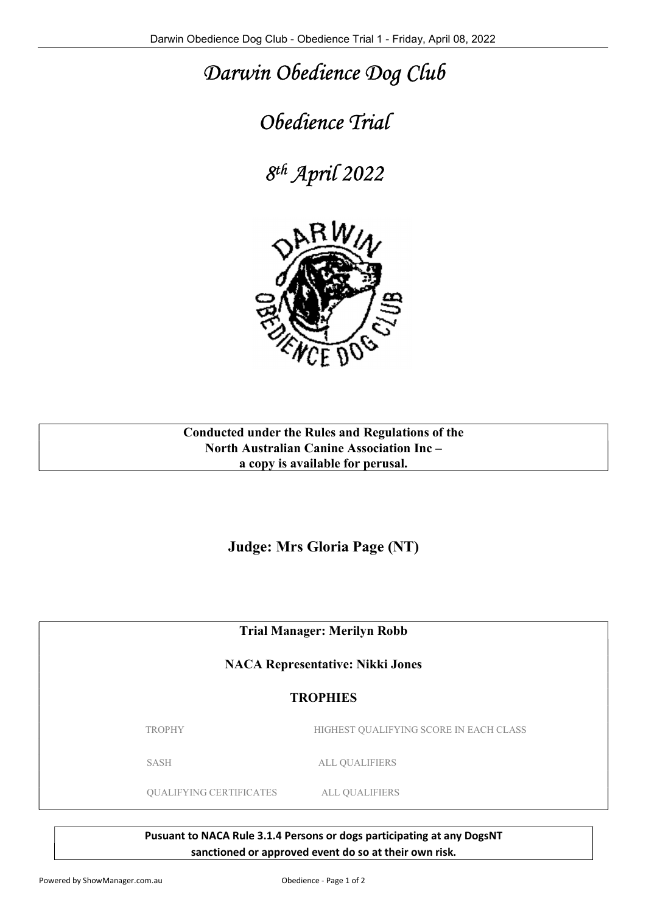## Darwin Obedience Dog Club

## Obedience Trial

8 th April 2022



## Conducted under the Rules and Regulations of the North Australian Canine Association Inc – a copy is available for perusal.

Judge: Mrs Gloria Page (NT)

Trial Manager: Merilyn Robb

NACA Representative: Nikki Jones

## **TROPHIES**

TROPHY HIGHEST QUALIFYING SCORE IN EACH CLASS

SASH ALL QUALIFIERS

QUALIFYING CERTIFICATES ALL QUALIFIERS

Pusuant to NACA Rule 3.1.4 Persons or dogs participating at any DogsNT sanctioned or approved event do so at their own risk.